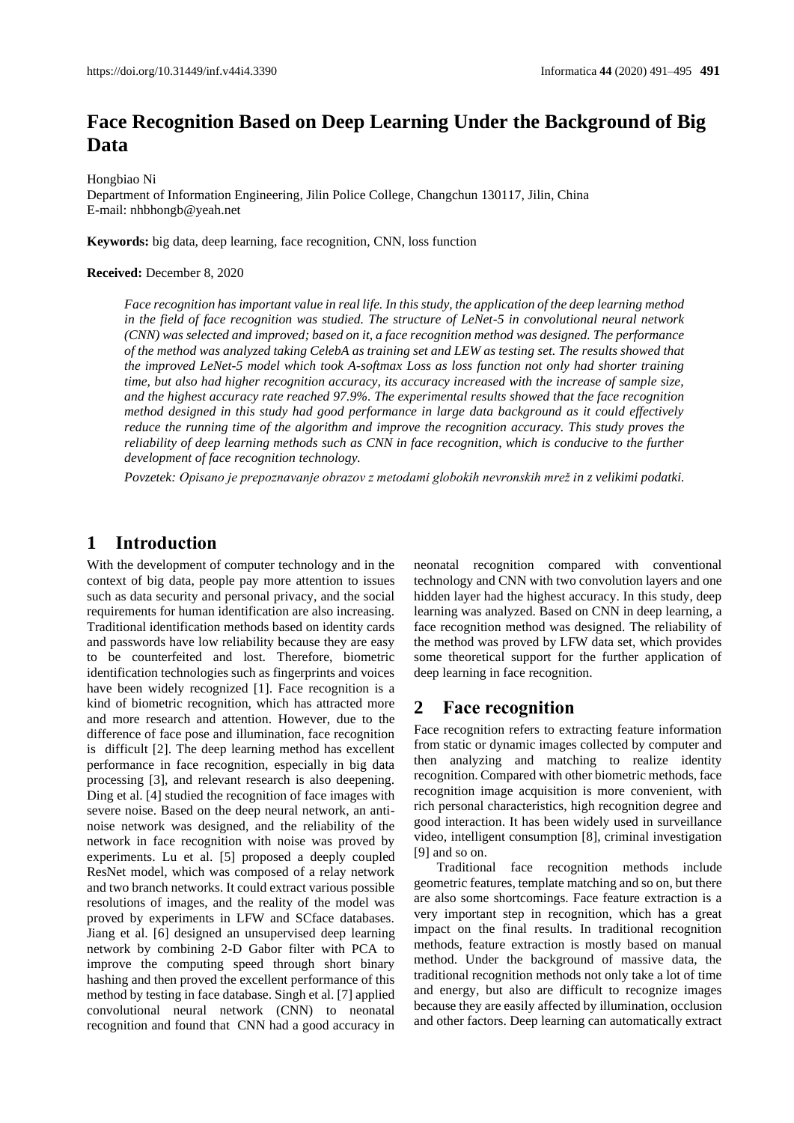# **Face Recognition Based on Deep Learning Under the Background of Big Data**

Hongbiao Ni

Department of Information Engineering, Jilin Police College, Changchun 130117, Jilin, China E-mail: nhbhongb@yeah.net

**Keywords:** big data, deep learning, face recognition, CNN, loss function

#### **Received:** December 8, 2020

*Face recognition has important value in real life. In this study, the application of the deep learning method in the field of face recognition was studied. The structure of LeNet-5 in convolutional neural network (CNN) was selected and improved; based on it, a face recognition method was designed. The performance of the method was analyzed taking CelebA as training set and LEW as testing set. The results showed that the improved LeNet-5 model which took A-softmax Loss as loss function not only had shorter training time, but also had higher recognition accuracy, its accuracy increased with the increase of sample size, and the highest accuracy rate reached 97.9%. The experimental results showed that the face recognition method designed in this study had good performance in large data background as it could effectively reduce the running time of the algorithm and improve the recognition accuracy. This study proves the reliability of deep learning methods such as CNN in face recognition, which is conducive to the further development of face recognition technology.*

*Povzetek: Opisano je prepoznavanje obrazov z metodami globokih nevronskih mrež in z velikimi podatki.*

### **1 Introduction**

With the development of computer technology and in the context of big data, people pay more attention to issues such as data security and personal privacy, and the social requirements for human identification are also increasing. Traditional identification methods based on identity cards and passwords have low reliability because they are easy to be counterfeited and lost. Therefore, biometric identification technologies such as fingerprints and voices have been widely recognized [1]. Face recognition is a kind of biometric recognition, which has attracted more and more research and attention. However, due to the difference of face pose and illumination, face recognition is difficult [2]. The deep learning method has excellent performance in face recognition, especially in big data processing [3], and relevant research is also deepening. Ding et al. [4] studied the recognition of face images with severe noise. Based on the deep neural network, an antinoise network was designed, and the reliability of the network in face recognition with noise was proved by experiments. Lu et al. [5] proposed a deeply coupled ResNet model, which was composed of a relay network and two branch networks. It could extract various possible resolutions of images, and the reality of the model was proved by experiments in LFW and SCface databases. Jiang et al. [6] designed an unsupervised deep learning network by combining 2-D Gabor filter with PCA to improve the computing speed through short binary hashing and then proved the excellent performance of this method by testing in face database. Singh et al. [7] applied convolutional neural network (CNN) to neonatal recognition and found that CNN had a good accuracy in

neonatal recognition compared with conventional technology and CNN with two convolution layers and one hidden layer had the highest accuracy. In this study, deep learning was analyzed. Based on CNN in deep learning, a face recognition method was designed. The reliability of the method was proved by LFW data set, which provides some theoretical support for the further application of deep learning in face recognition.

### **2 Face recognition**

Face recognition refers to extracting feature information from static or dynamic images collected by computer and then analyzing and matching to realize identity recognition. Compared with other biometric methods, face recognition image acquisition is more convenient, with rich personal characteristics, high recognition degree and good interaction. It has been widely used in surveillance video, intelligent consumption [8], criminal investigation [9] and so on.

Traditional face recognition methods include geometric features, template matching and so on, but there are also some shortcomings. Face feature extraction is a very important step in recognition, which has a great impact on the final results. In traditional recognition methods, feature extraction is mostly based on manual method. Under the background of massive data, the traditional recognition methods not only take a lot of time and energy, but also are difficult to recognize images because they are easily affected by illumination, occlusion and other factors. Deep learning can automatically extract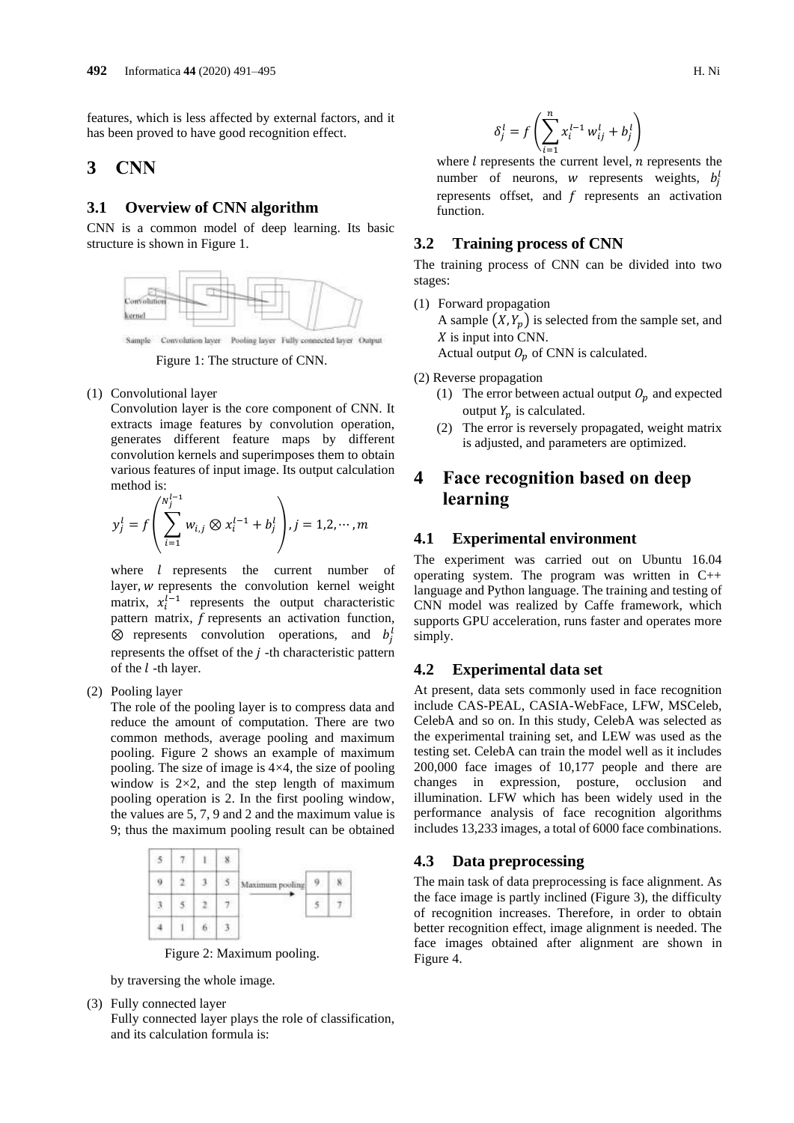features, which is less affected by external factors, and it has been proved to have good recognition effect.

### **3 CNN**

#### **3.1 Overview of CNN algorithm**

CNN is a common model of deep learning. Its basic structure is shown in Figure 1.



Figure 1: The structure of CNN.

(1) Convolutional layer

Convolution layer is the core component of CNN. It extracts image features by convolution operation, generates different feature maps by different convolution kernels and superimposes them to obtain various features of input image. Its output calculation method is:

$$
y_j^l = f\left(\sum_{i=1}^{N_j^{l-1}} w_{i,j} \otimes x_i^{l-1} + b_j^l\right), j = 1, 2, \cdots, m
$$

where  $l$  represents the current number of layer, w represents the convolution kernel weight matrix,  $x_i^{l-1}$  represents the output characteristic pattern matrix,  $f$  represents an activation function,  $\otimes$  represents convolution operations, and  $b_j^l$ represents the offset of the  $j$ -th characteristic pattern of the  $l$  -th layer.

(2) Pooling layer

The role of the pooling layer is to compress data and reduce the amount of computation. There are two common methods, average pooling and maximum pooling. Figure 2 shows an example of maximum pooling. The size of image is 4×4, the size of pooling window is  $2\times 2$ , and the step length of maximum pooling operation is 2. In the first pooling window, the values are 5, 7, 9 and 2 and the maximum value is 9; thus the maximum pooling result can be obtained



Figure 2: Maximum pooling.

by traversing the whole image.

(3) Fully connected layer Fully connected layer plays the role of classification, and its calculation formula is:

$$
\delta_j^l = f\left(\sum_{i=1}^n x_i^{l-1} \, w_{ij}^l + b_j^l\right)
$$

where  $l$  represents the current level,  $n$  represents the number of neurons, w represents weights,  $b_j^l$ represents offset, and  $f$  represents an activation function.

#### **3.2 Training process of CNN**

The training process of CNN can be divided into two stages:

- (1) Forward propagation A sample  $(X, Y_n)$  is selected from the sample set, and  $X$  is input into CNN. Actual output  $O_p$  of CNN is calculated.
- (2) Reverse propagation
	- (1) The error between actual output  $O_p$  and expected output  $Y_p$  is calculated.
	- (2) The error is reversely propagated, weight matrix is adjusted, and parameters are optimized.

## **4 Face recognition based on deep learning**

#### **4.1 Experimental environment**

The experiment was carried out on Ubuntu 16.04 operating system. The program was written in C++ language and Python language. The training and testing of CNN model was realized by Caffe framework, which supports GPU acceleration, runs faster and operates more simply.

#### **4.2 Experimental data set**

At present, data sets commonly used in face recognition include CAS-PEAL, CASIA-WebFace, LFW, MSCeleb, CelebA and so on. In this study, CelebA was selected as the experimental training set, and LEW was used as the testing set. CelebA can train the model well as it includes 200,000 face images of 10,177 people and there are changes in expression, posture, occlusion and illumination. LFW which has been widely used in the performance analysis of face recognition algorithms includes 13,233 images, a total of 6000 face combinations.

#### **4.3 Data preprocessing**

The main task of data preprocessing is face alignment. As the face image is partly inclined (Figure 3), the difficulty of recognition increases. Therefore, in order to obtain better recognition effect, image alignment is needed. The face images obtained after alignment are shown in Figure 4.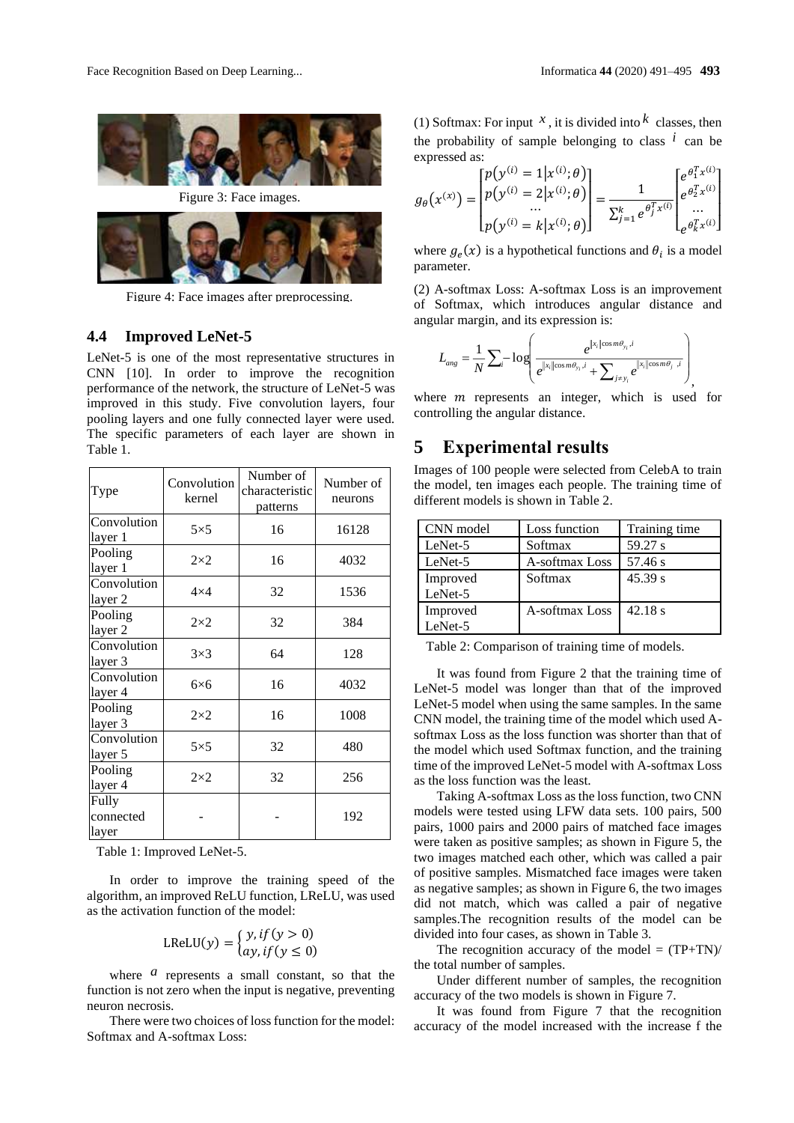,



Figure 3: Face images.



Figure 4: Face images after preprocessing.

#### **4.4 Improved LeNet-5**

LeNet-5 is one of the most representative structures in CNN [10]. In order to improve the recognition performance of the network, the structure of LeNet-5 was improved in this study. Five convolution layers, four pooling layers and one fully connected layer were used. The specific parameters of each layer are shown in Table 1.

| Type                        | Convolution<br>kernel | Number of<br>characteristic<br>patterns | Number of<br>neurons |
|-----------------------------|-----------------------|-----------------------------------------|----------------------|
| Convolution<br>layer 1      | $5\times5$            | 16                                      | 16128                |
| Pooling<br>layer 1          | $2\times2$            | 16                                      | 4032                 |
| Convolution<br>layer 2      | $4\times4$            | 32                                      | 1536                 |
| Pooling<br>layer 2          | $2\times2$            | 32                                      | 384                  |
| Convolution<br>layer 3      | $3\times3$            | 64                                      | 128                  |
| Convolution<br>layer 4      | $6\times 6$           | 16                                      | 4032                 |
| Pooling<br>layer 3          | $2\times2$            | 16                                      | 1008                 |
| Convolution<br>layer 5      | $5\times5$            | 32                                      | 480                  |
| Pooling<br>layer 4          | $2\times2$            | 32                                      | 256                  |
| Fully<br>connected<br>layer |                       |                                         | 192                  |

Table 1: Improved LeNet-5.

In order to improve the training speed of the algorithm, an improved ReLU function, LReLU, was used as the activation function of the model:

$$
\text{LReLU}(y) = \begin{cases} y, \text{if } (y > 0) \\ ay, \text{if } (y \le 0) \end{cases}
$$

where  $\alpha$  represents a small constant, so that the function is not zero when the input is negative, preventing neuron necrosis.

There were two choices of loss function for the model: Softmax and A-softmax Loss:

(1) Softmax: For input  $^x$ , it is divided into  $^k$  classes, then the probability of sample belonging to class  $\hat{i}$  can be expressed as:

$$
g_{\theta}(x^{(x)}) = \begin{bmatrix} p(y^{(i)} = 1 | x^{(i)}; \theta) \\ p(y^{(i)} = 2 | x^{(i)}; \theta) \\ \dots \\ p(y^{(i)} = k | x^{(i)}; \theta) \end{bmatrix} = \frac{1}{\sum_{j=1}^{k} e^{\theta_{j}^{T} x^{(i)}}} \begin{bmatrix} e^{\theta_{1}^{T} x^{(i)}} \\ e^{\theta_{2}^{T} x^{(i)}} \\ \dots \\ e^{\theta_{k}^{T} x^{(i)}} \end{bmatrix}
$$

where  $g_e(x)$  is a hypothetical functions and  $\theta_i$  is a model parameter.

(2) A-softmax Loss: A-softmax Loss is an improvement of Softmax, which introduces angular distance and angular margin, and its expression is:

$$
L_{ang} = \frac{1}{N} \sum_{i} -\log \left( \frac{e^{\|x_i\| \cos m\theta_{y_i}, i}}{e^{\|x_i\| \cos m\theta_{y_i}, i} + \sum_{j \neq y_i} e^{\|x_i\| \cos m\theta_{j} - i}} \right)
$$

where  $m$  represents an integer, which is used for controlling the angular distance.

### **5 Experimental results**

Images of 100 people were selected from CelebA to train the model, ten images each people. The training time of different models is shown in Table 2.

| CNN model | Loss function  | Training time |
|-----------|----------------|---------------|
| LeNet-5   | Softmax        | 59.27 s       |
| LeNet-5   | A-softmax Loss | 57.46 s       |
| Improved  | Softmax        | 45.39 s       |
| LeNet-5   |                |               |
| Improved  | A-softmax Loss | 42.18 s       |
| LeNet-5   |                |               |

Table 2: Comparison of training time of models.

It was found from Figure 2 that the training time of LeNet-5 model was longer than that of the improved LeNet-5 model when using the same samples. In the same CNN model, the training time of the model which used Asoftmax Loss as the loss function was shorter than that of the model which used Softmax function, and the training time of the improved LeNet-5 model with A-softmax Loss as the loss function was the least.

Taking A-softmax Loss as the loss function, two CNN models were tested using LFW data sets. 100 pairs, 500 pairs, 1000 pairs and 2000 pairs of matched face images were taken as positive samples; as shown in Figure 5, the two images matched each other, which was called a pair of positive samples. Mismatched face images were taken as negative samples; as shown in Figure 6, the two images did not match, which was called a pair of negative samples.The recognition results of the model can be divided into four cases, as shown in Table 3.

The recognition accuracy of the model  $= (TP+TN)$ / the total number of samples.

Under different number of samples, the recognition accuracy of the two models is shown in Figure 7.

It was found from Figure 7 that the recognition accuracy of the model increased with the increase f the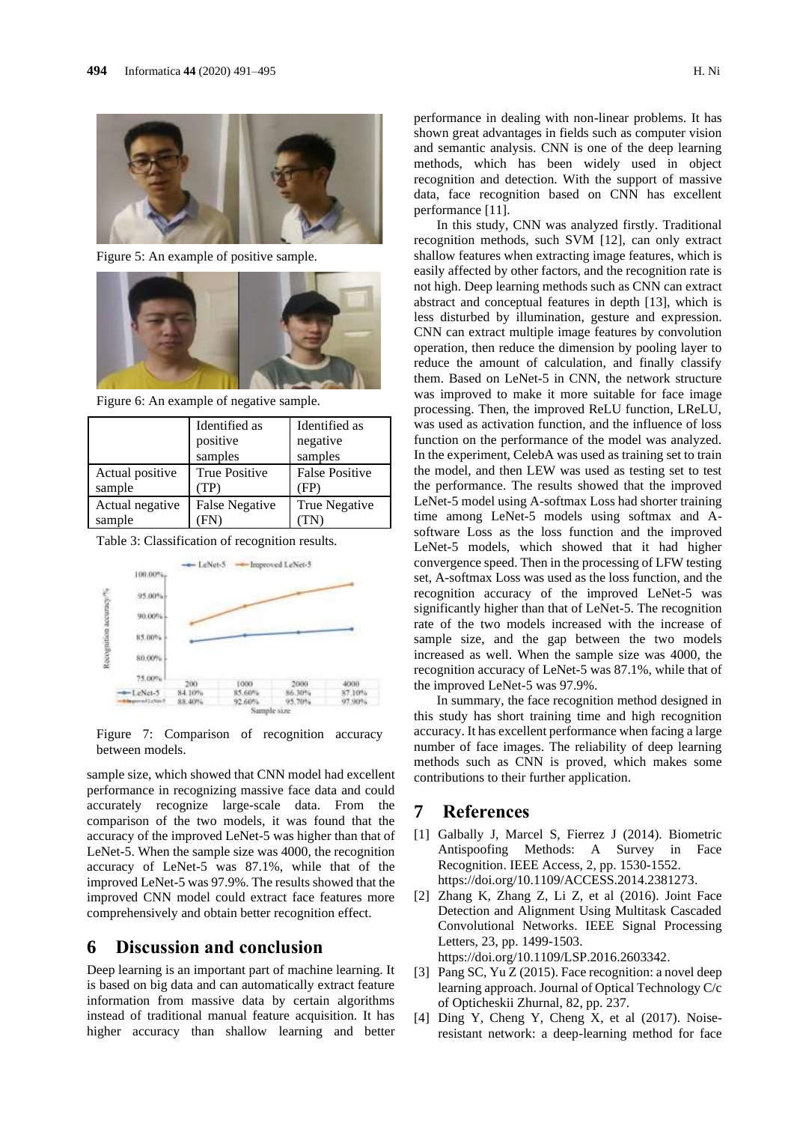

Figure 5: An example of positive sample.



Figure 6: An example of negative sample.

|                           | Identified as<br>positive<br>samples | Identified as<br>negative<br>samples |
|---------------------------|--------------------------------------|--------------------------------------|
| Actual positive<br>sample | True Positive<br>$\cdot$ $\Gamma$ P) | <b>False Positive</b><br>HΡ          |
| Actual negative<br>sample | <b>False Negative</b>                | True Negative                        |

Table 3: Classification of recognition results.



Figure 7: Comparison of recognition accuracy between models.

sample size, which showed that CNN model had excellent performance in recognizing massive face data and could accurately recognize large-scale data. From the comparison of the two models, it was found that the accuracy of the improved LeNet-5 was higher than that of LeNet-5. When the sample size was 4000, the recognition accuracy of LeNet-5 was 87.1%, while that of the improved LeNet-5 was 97.9%. The results showed that the improved CNN model could extract face features more comprehensively and obtain better recognition effect.

### **6 Discussion and conclusion**

Deep learning is an important part of machine learning. It is based on big data and can automatically extract feature information from massive data by certain algorithms instead of traditional manual feature acquisition. It has higher accuracy than shallow learning and better

performance in dealing with non-linear problems. It has shown great advantages in fields such as computer vision and semantic analysis. CNN is one of the deep learning methods, which has been widely used in object recognition and detection. With the support of massive data, face recognition based on CNN has excellent performance [11].

In this study, CNN was analyzed firstly. Traditional recognition methods, such SVM [12], can only extract shallow features when extracting image features, which is easily affected by other factors, and the recognition rate is not high. Deep learning methods such as CNN can extract abstract and conceptual features in depth [13], which is less disturbed by illumination, gesture and expression. CNN can extract multiple image features by convolution operation, then reduce the dimension by pooling layer to reduce the amount of calculation, and finally classify them. Based on LeNet-5 in CNN, the network structure was improved to make it more suitable for face image processing. Then, the improved ReLU function, LReLU, was used as activation function, and the influence of loss function on the performance of the model was analyzed. In the experiment, CelebA was used as training set to train the model, and then LEW was used as testing set to test the performance. The results showed that the improved LeNet-5 model using A-softmax Loss had shorter training time among LeNet-5 models using softmax and Asoftware Loss as the loss function and the improved LeNet-5 models, which showed that it had higher convergence speed. Then in the processing of LFW testing set, A-softmax Loss was used as the loss function, and the recognition accuracy of the improved LeNet-5 was significantly higher than that of LeNet-5. The recognition rate of the two models increased with the increase of sample size, and the gap between the two models increased as well. When the sample size was 4000, the recognition accuracy of LeNet-5 was 87.1%, while that of the improved LeNet-5 was 97.9%.

In summary, the face recognition method designed in this study has short training time and high recognition accuracy. It has excellent performance when facing a large number of face images. The reliability of deep learning methods such as CNN is proved, which makes some contributions to their further application.

### **7 References**

- [1] Galbally J, Marcel S, Fierrez J (2014). Biometric Antispoofing Methods: A Survey in Face Recognition. IEEE Access, 2, pp. 1530-1552. https://doi.org/10.1109/ACCESS.2014.2381273.
- [2] Zhang K, Zhang Z, Li Z, et al (2016). Joint Face Detection and Alignment Using Multitask Cascaded Convolutional Networks. IEEE Signal Processing Letters, 23, pp. 1499-1503. https://doi.org/10.1109/LSP.2016.2603342.
- [3] Pang SC, Yu Z (2015). Face recognition: a novel deep learning approach. Journal of Optical Technology C/c of Opticheskii Zhurnal, 82, pp. 237.
- [4] Ding Y, Cheng Y, Cheng X, et al (2017). Noiseresistant network: a deep-learning method for face